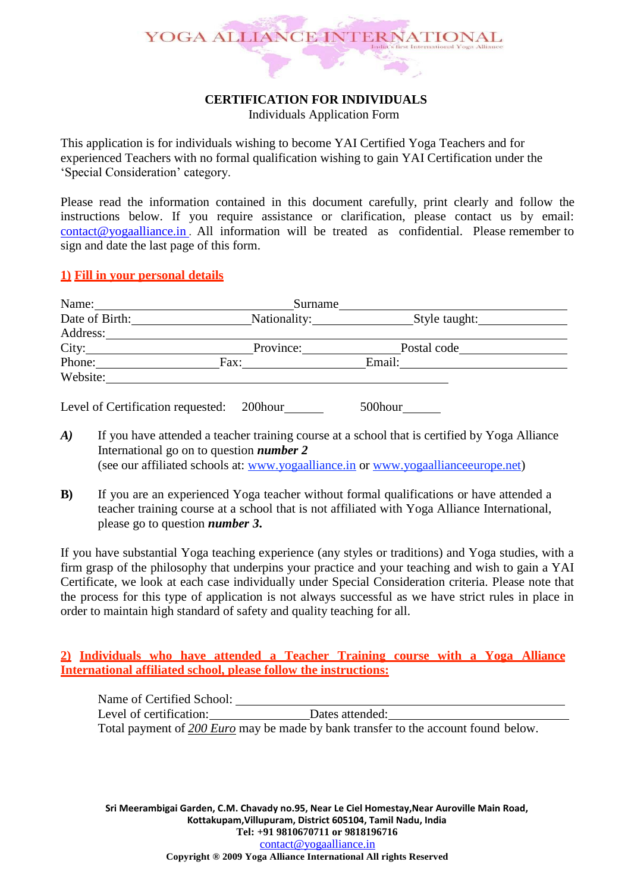# YOGA ALLIANCE INTERNATIONAL ×.

# **CERTIFICATION FOR INDIVIDUALS**

Individuals Application Form

This application is for individuals wishing to become YAI Certified Yoga Teachers and for experienced Teachers with no formal qualification wishing to gain YAI Certification under the 'Special Consideration' category.

Please read the information contained in this document carefully, print clearly and follow the instructions below. If you require assistance or clarification, please contact us by email: [contact@yogaalliance.in](mailto:%20contact@yogaalliance.in) . All information will be treated as confidential. Please remember to sign and date the last page of this form.

#### **1) Fill in your personal details**

| Name:          |      | Surname      |        |               |  |
|----------------|------|--------------|--------|---------------|--|
| Date of Birth: |      | Nationality: |        | Style taught: |  |
| Address:       |      |              |        |               |  |
| City:          |      | Province:    |        | Postal code   |  |
| Phone:         | Fax: |              | Email: |               |  |
| Website:       |      |              |        |               |  |
|                |      |              |        |               |  |

Level of Certification requested: 200 hour 500 hour

- *A*) If you have attended a teacher training course at a school that is certified by Yoga Alliance International go on to question *number 2* (see our affiliated schools at: [www.yogaalliance.in](http://www.yogaalliance.in/) or www.yogaallianceeurope.net)
- **B**) If you are an experienced Yoga teacher without formal qualifications or have attended a teacher training course at a school that is not affiliated with Yoga Alliance International, please go to question *number 3***.**

If you have substantial Yoga teaching experience (any styles or traditions) and Yoga studies, with a firm grasp of the philosophy that underpins your practice and your teaching and wish to gain a YAI Certificate, we look at each case individually under Special Consideration criteria. Please note that the process for this type of application is not always successful as we have strict rules in place in order to maintain high standard of safety and quality teaching for all.

**2) Individuals who have attended a Teacher Training course with a Yoga Alliance International affiliated school, please follow the instructions:**

Name of Certified School: Level of certification: Dates attended: Total payment of *200 Euro* may be made by bank transfer to the account found below.

**Sri Meerambigai Garden, C.M. Chavady no.95, Near Le Ciel Homestay,Near Auroville Main Road, Kottakupam,Villupuram, District 605104, Tamil Nadu, India Tel: +91 9810670711 or 9818196716** [contact@yogaalliance.in](mailto:contact@yogaalliance.in) **Copyright ® 2009 Yoga Alliance International All rights Reserved**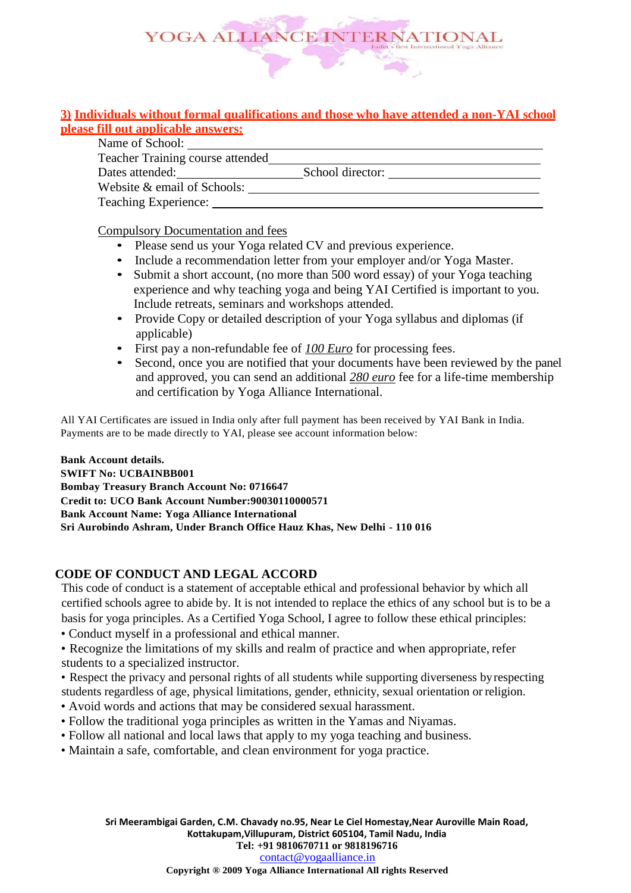

### **3) Individuals without formal qualifications and those who have attended a non-YAI school please fill out applicable answers:**

| Name of School:                  |                  |
|----------------------------------|------------------|
| Teacher Training course attended |                  |
| Dates attended:                  | School director: |
| Website & email of Schools:      |                  |
| Teaching Experience:             |                  |

Compulsory Documentation and fees

- Please send us your Yoga related CV and previous experience.
- Include a recommendation letter from your employer and/or Yoga Master.
- Submit a short account, (no more than 500 word essay) of your Yoga teaching experience and why teaching yoga and being YAI Certified is important to you. Include retreats, seminars and workshops attended.
- Provide Copy or detailed description of your Yoga syllabus and diplomas (if applicable)
- First pay a non-refundable fee of *100 Euro* for processing fees.
- Second, once you are notified that your documents have been reviewed by the panel and approved, you can send an additional *280 euro* fee for a life-time membership and certification by Yoga Alliance International.

All YAI Certificates are issued in India only after full payment has been received by YAI Bank in India. Payments are to be made directly to YAI, please see account information below:

**Bank Account details. SWIFT No: UCBAINBB001 Bombay Treasury Branch Account No: 0716647 Credit to: UCO Bank Account Number:90030110000571 Bank Account Name: Yoga Alliance International Sri Aurobindo Ashram, Under Branch Office Hauz Khas, New Delhi - 110 016**

## **CODE OF CONDUCT AND LEGAL ACCORD**

This code of conduct is a statement of acceptable ethical and professional behavior by which all certified schools agree to abide by. It is not intended to replace the ethics of any school but is to be a basis for yoga principles. As a Certified Yoga School, I agree to follow these ethical principles:

• Conduct myself in a professional and ethical manner.

• Recognize the limitations of my skills and realm of practice and when appropriate, refer students to a specialized instructor.

• Respect the privacy and personal rights of all students while supporting diverseness byrespecting students regardless of age, physical limitations, gender, ethnicity, sexual orientation or religion.

- Avoid words and actions that may be considered sexual harassment.
- Follow the traditional yoga principles as written in the Yamas and Niyamas.
- Follow all national and local laws that apply to my yoga teaching and business.
- Maintain a safe, comfortable, and clean environment for yoga practice.